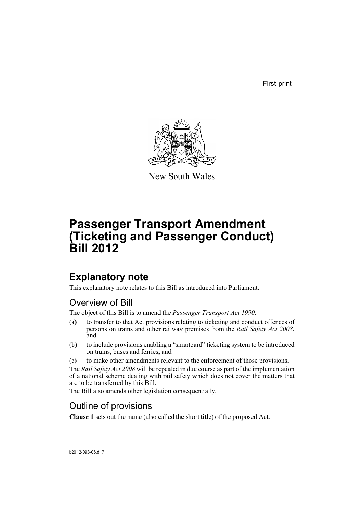First print



New South Wales

# **Passenger Transport Amendment (Ticketing and Passenger Conduct) Bill 2012**

## **Explanatory note**

This explanatory note relates to this Bill as introduced into Parliament.

## Overview of Bill

The object of this Bill is to amend the *Passenger Transport Act 1990*:

- (a) to transfer to that Act provisions relating to ticketing and conduct offences of persons on trains and other railway premises from the *Rail Safety Act 2008*, and
- (b) to include provisions enabling a "smartcard" ticketing system to be introduced on trains, buses and ferries, and
- (c) to make other amendments relevant to the enforcement of those provisions.

The *Rail Safety Act 2008* will be repealed in due course as part of the implementation of a national scheme dealing with rail safety which does not cover the matters that are to be transferred by this Bill.

The Bill also amends other legislation consequentially.

## Outline of provisions

**Clause 1** sets out the name (also called the short title) of the proposed Act.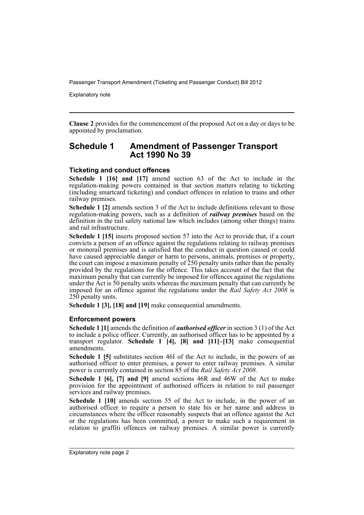Explanatory note

**Clause 2** provides for the commencement of the proposed Act on a day or days to be appointed by proclamation.

### **Schedule 1 Amendment of Passenger Transport Act 1990 No 39**

### **Ticketing and conduct offences**

**Schedule 1 [16] and [17]** amend section 63 of the Act to include in the regulation-making powers contained in that section matters relating to ticketing (including smartcard ticketing) and conduct offences in relation to trains and other railway premises.

**Schedule 1 [2]** amends section 3 of the Act to include definitions relevant to those regulation-making powers, such as a definition of *railway premises* based on the definition in the rail safety national law which includes (among other things) trains and rail infrastructure.

**Schedule 1 [15]** inserts proposed section 57 into the Act to provide that, if a court convicts a person of an offence against the regulations relating to railway premises or monorail premises and is satisfied that the conduct in question caused or could have caused appreciable danger or harm to persons, animals, premises or property, the court can impose a maximum penalty of 250 penalty units rather than the penalty provided by the regulations for the offence. This takes account of the fact that the maximum penalty that can currently be imposed for offences against the regulations under the Act is 50 penalty units whereas the maximum penalty that can currently be imposed for an offence against the regulations under the *Rail Safety Act 2008* is 250 penalty units.

**Schedule 1 [3], [18] and [19]** make consequential amendments.

### **Enforcement powers**

**Schedule 1 [1]** amends the definition of *authorised officer* in section 3 (1) of the Act to include a police officer. Currently, an authorised officer has to be appointed by a transport regulator. **Schedule 1 [4], [8] and [11]–[13]** make consequential amendments.

**Schedule 1 [5]** substitutes section 46I of the Act to include, in the powers of an authorised officer to enter premises, a power to enter railway premises. A similar power is currently contained in section 85 of the *Rail Safety Act 2008*.

**Schedule 1 [6], [7] and [9]** amend sections 46R and 46W of the Act to make provision for the appointment of authorised officers in relation to rail passenger services and railway premises.

**Schedule 1 [10]** amends section 55 of the Act to include, in the power of an authorised officer to require a person to state his or her name and address in circumstances where the officer reasonably suspects that an offence against the Act or the regulations has been committed, a power to make such a requirement in relation to graffiti offences on railway premises. A similar power is currently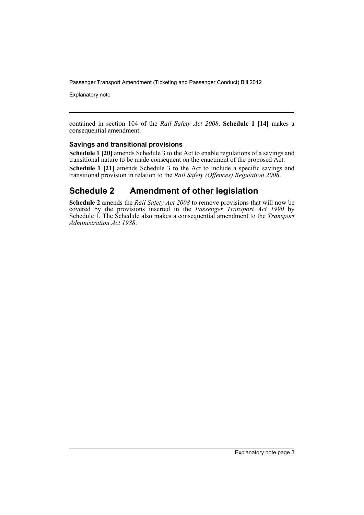Explanatory note

contained in section 104 of the *Rail Safety Act 2008*. **Schedule 1 [14]** makes a consequential amendment.

### **Savings and transitional provisions**

**Schedule 1 [20]** amends Schedule 3 to the Act to enable regulations of a savings and transitional nature to be made consequent on the enactment of the proposed Act.

**Schedule 1 [21]** amends Schedule 3 to the Act to include a specific savings and transitional provision in relation to the *Rail Safety (Offences) Regulation 2008*.

### **Schedule 2 Amendment of other legislation**

**Schedule 2** amends the *Rail Safety Act 2008* to remove provisions that will now be covered by the provisions inserted in the *Passenger Transport Act 1990* by Schedule 1. The Schedule also makes a consequential amendment to the *Transport Administration Act 1988*.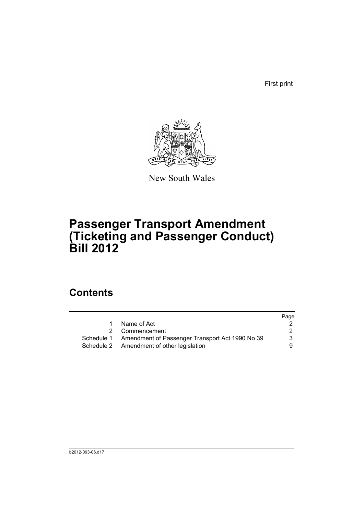First print



New South Wales

# **Passenger Transport Amendment (Ticketing and Passenger Conduct) Bill 2012**

## **Contents**

|   |                                                            | Page |
|---|------------------------------------------------------------|------|
| 1 | Name of Act                                                |      |
|   | 2 Commencement                                             | 2    |
|   | Schedule 1 Amendment of Passenger Transport Act 1990 No 39 | 3    |
|   | Schedule 2 Amendment of other legislation                  | 9    |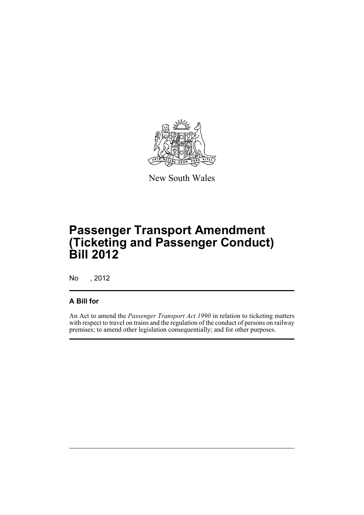

New South Wales

# **Passenger Transport Amendment (Ticketing and Passenger Conduct) Bill 2012**

No , 2012

### **A Bill for**

An Act to amend the *Passenger Transport Act 1990* in relation to ticketing matters with respect to travel on trains and the regulation of the conduct of persons on railway premises; to amend other legislation consequentially; and for other purposes.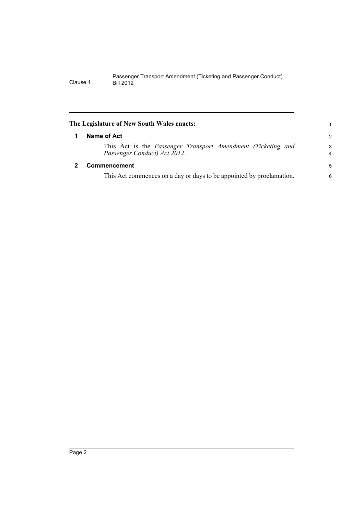<span id="page-7-1"></span><span id="page-7-0"></span>

| The Legislature of New South Wales enacts:                                                   | 1             |
|----------------------------------------------------------------------------------------------|---------------|
| Name of Act                                                                                  | $\mathcal{P}$ |
| This Act is the Passenger Transport Amendment (Ticketing and<br>Passenger Conduct) Act 2012. | 3<br>4        |
| <b>Commencement</b>                                                                          | 5             |
| This Act commences on a day or days to be appointed by proclamation.                         | 6             |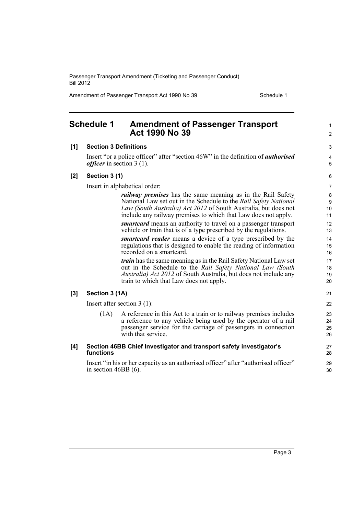Amendment of Passenger Transport Act 1990 No 39 Schedule 1

<span id="page-8-0"></span>

|       | <b>Schedule 1</b>                  | <b>Amendment of Passenger Transport</b><br><b>Act 1990 No 39</b>                                                                                                                                                                                                                                                                                                                                                                                                                                                                                                                                                                                                                                                                                                                                                                                           | $\mathbf{1}$<br>2                                                                       |
|-------|------------------------------------|------------------------------------------------------------------------------------------------------------------------------------------------------------------------------------------------------------------------------------------------------------------------------------------------------------------------------------------------------------------------------------------------------------------------------------------------------------------------------------------------------------------------------------------------------------------------------------------------------------------------------------------------------------------------------------------------------------------------------------------------------------------------------------------------------------------------------------------------------------|-----------------------------------------------------------------------------------------|
| [1]   | <b>Section 3 Definitions</b>       |                                                                                                                                                                                                                                                                                                                                                                                                                                                                                                                                                                                                                                                                                                                                                                                                                                                            | 3                                                                                       |
|       | <i>officer</i> in section $3(1)$ . | Insert "or a police officer" after "section 46W" in the definition of <i>authorised</i>                                                                                                                                                                                                                                                                                                                                                                                                                                                                                                                                                                                                                                                                                                                                                                    | $\overline{\mathbf{4}}$<br>5                                                            |
| [2]   | Section 3 (1)                      |                                                                                                                                                                                                                                                                                                                                                                                                                                                                                                                                                                                                                                                                                                                                                                                                                                                            | 6                                                                                       |
|       |                                    | Insert in alphabetical order:                                                                                                                                                                                                                                                                                                                                                                                                                                                                                                                                                                                                                                                                                                                                                                                                                              | $\overline{7}$                                                                          |
|       |                                    | <i>railway premises</i> has the same meaning as in the Rail Safety<br>National Law set out in the Schedule to the Rail Safety National<br>Law (South Australia) Act 2012 of South Australia, but does not<br>include any railway premises to which that Law does not apply.<br><i>smartcard</i> means an authority to travel on a passenger transport<br>vehicle or train that is of a type prescribed by the regulations.<br>smartcard reader means a device of a type prescribed by the<br>regulations that is designed to enable the reading of information<br>recorded on a smartcard.<br><i>train</i> has the same meaning as in the Rail Safety National Law set<br>out in the Schedule to the Rail Safety National Law (South<br><i>Australia) Act 2012</i> of South Australia, but does not include any<br>train to which that Law does not apply. | 8<br>$\boldsymbol{9}$<br>10<br>11<br>12<br>13<br>14<br>15<br>16<br>17<br>18<br>19<br>20 |
| $[3]$ | Section 3 (1A)                     |                                                                                                                                                                                                                                                                                                                                                                                                                                                                                                                                                                                                                                                                                                                                                                                                                                                            | 21                                                                                      |
|       |                                    | Insert after section $3(1)$ :                                                                                                                                                                                                                                                                                                                                                                                                                                                                                                                                                                                                                                                                                                                                                                                                                              | 22                                                                                      |
|       | (1A)                               | A reference in this Act to a train or to railway premises includes<br>a reference to any vehicle being used by the operator of a rail<br>passenger service for the carriage of passengers in connection<br>with that service.                                                                                                                                                                                                                                                                                                                                                                                                                                                                                                                                                                                                                              | 23<br>24<br>25<br>26                                                                    |
| [4]   | functions                          | Section 46BB Chief Investigator and transport safety investigator's                                                                                                                                                                                                                                                                                                                                                                                                                                                                                                                                                                                                                                                                                                                                                                                        | 27<br>28                                                                                |
|       | in section $46BB(6)$ .             | Insert "in his or her capacity as an authorised officer" after "authorised officer"                                                                                                                                                                                                                                                                                                                                                                                                                                                                                                                                                                                                                                                                                                                                                                        | 29<br>30                                                                                |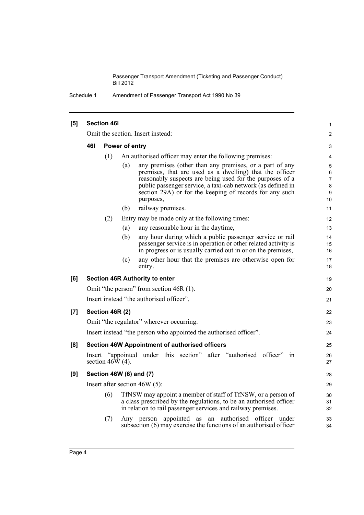Schedule 1 Amendment of Passenger Transport Act 1990 No 39

| [5]                |                                   | <b>Section 46I</b>  |                         |                                                                                                                                                                                                                                                                                                                       | 1                                        |
|--------------------|-----------------------------------|---------------------|-------------------------|-----------------------------------------------------------------------------------------------------------------------------------------------------------------------------------------------------------------------------------------------------------------------------------------------------------------------|------------------------------------------|
|                    | Omit the section. Insert instead: |                     |                         |                                                                                                                                                                                                                                                                                                                       | 2                                        |
|                    | 46I<br>Power of entry             |                     |                         |                                                                                                                                                                                                                                                                                                                       |                                          |
|                    |                                   | (1)                 |                         | An authorised officer may enter the following premises:                                                                                                                                                                                                                                                               | 4                                        |
|                    |                                   |                     | (a)                     | any premises (other than any premises, or a part of any<br>premises, that are used as a dwelling) that the officer<br>reasonably suspects are being used for the purposes of a<br>public passenger service, a taxi-cab network (as defined in<br>section 29A) or for the keeping of records for any such<br>purposes, | 5<br>6<br>$\overline{7}$<br>8<br>9<br>10 |
|                    |                                   |                     | (b)                     | railway premises.                                                                                                                                                                                                                                                                                                     | 11                                       |
|                    |                                   | (2)                 |                         | Entry may be made only at the following times:                                                                                                                                                                                                                                                                        | 12                                       |
|                    |                                   |                     | (a)                     | any reasonable hour in the daytime,                                                                                                                                                                                                                                                                                   | 13                                       |
|                    |                                   |                     | (b)                     | any hour during which a public passenger service or rail<br>passenger service is in operation or other related activity is<br>in progress or is usually carried out in or on the premises,                                                                                                                            | 14<br>15<br>16                           |
|                    |                                   |                     | (c)                     | any other hour that the premises are otherwise open for<br>entry.                                                                                                                                                                                                                                                     | 17<br>18                                 |
| [6]                |                                   |                     |                         | <b>Section 46R Authority to enter</b>                                                                                                                                                                                                                                                                                 | 19                                       |
|                    |                                   |                     |                         | Omit "the person" from section 46R (1).                                                                                                                                                                                                                                                                               | 20                                       |
|                    |                                   |                     |                         | Insert instead "the authorised officer".                                                                                                                                                                                                                                                                              | 21                                       |
| $\left[ 7 \right]$ |                                   | Section 46R (2)     |                         |                                                                                                                                                                                                                                                                                                                       | 22                                       |
|                    |                                   |                     |                         | Omit "the regulator" wherever occurring.                                                                                                                                                                                                                                                                              | 23                                       |
|                    |                                   |                     |                         | Insert instead "the person who appointed the authorised officer".                                                                                                                                                                                                                                                     | 24                                       |
| [8]                |                                   |                     |                         | <b>Section 46W Appointment of authorised officers</b>                                                                                                                                                                                                                                                                 | 25                                       |
|                    |                                   | section 46W $(4)$ . |                         | Insert "appointed under this section" after "authorised officer" in                                                                                                                                                                                                                                                   | 26<br>27                                 |
| [9]                |                                   |                     | Section 46W (6) and (7) |                                                                                                                                                                                                                                                                                                                       | 28                                       |
|                    |                                   |                     |                         | Insert after section $46W(5)$ :                                                                                                                                                                                                                                                                                       | 29                                       |
|                    |                                   | (6)                 |                         | TfNSW may appoint a member of staff of TfNSW, or a person of<br>a class prescribed by the regulations, to be an authorised officer<br>in relation to rail passenger services and railway premises.                                                                                                                    | 30<br>31<br>32                           |
|                    |                                   | (7)                 |                         | Any person appointed as an authorised officer under<br>subsection (6) may exercise the functions of an authorised officer                                                                                                                                                                                             | 33<br>34                                 |
|                    |                                   |                     |                         |                                                                                                                                                                                                                                                                                                                       |                                          |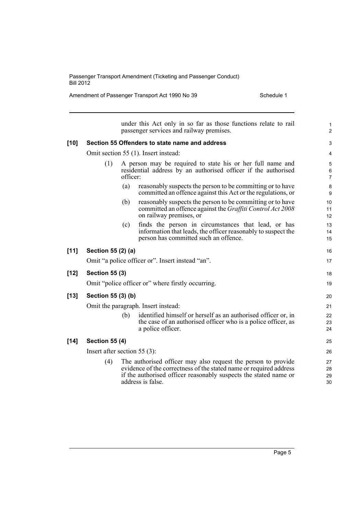Amendment of Passenger Transport Act 1990 No 39 Schedule 1

|        |                                 |          | under this Act only in so far as those functions relate to rail<br>passenger services and railway premises.                                                                                                                  | $\mathbf{1}$<br>$\overline{2}$ |
|--------|---------------------------------|----------|------------------------------------------------------------------------------------------------------------------------------------------------------------------------------------------------------------------------------|--------------------------------|
| $[10]$ |                                 |          | Section 55 Offenders to state name and address                                                                                                                                                                               | 3                              |
|        |                                 |          | Omit section 55 (1). Insert instead:                                                                                                                                                                                         | 4                              |
|        | (1)                             | officer: | A person may be required to state his or her full name and<br>residential address by an authorised officer if the authorised                                                                                                 | 5<br>6<br>$\overline{7}$       |
|        |                                 | (a)      | reasonably suspects the person to be committing or to have<br>committed an offence against this Act or the regulations, or                                                                                                   | $\bf 8$<br>9                   |
|        |                                 | (b)      | reasonably suspects the person to be committing or to have<br>committed an offence against the <i>Graffiti Control Act 2008</i><br>on railway premises, or                                                                   | 10<br>11<br>12                 |
|        |                                 | (c)      | finds the person in circumstances that lead, or has<br>information that leads, the officer reasonably to suspect the<br>person has committed such an offence.                                                                | 13<br>14<br>15                 |
| $[11]$ | Section 55 (2) (a)              |          |                                                                                                                                                                                                                              | 16                             |
|        |                                 |          | Omit "a police officer or". Insert instead "an".                                                                                                                                                                             | 17                             |
| $[12]$ | <b>Section 55 (3)</b>           |          |                                                                                                                                                                                                                              | 18                             |
|        |                                 |          | Omit "police officer or" where firstly occurring.                                                                                                                                                                            | 19                             |
| $[13]$ | Section 55 (3) (b)              |          |                                                                                                                                                                                                                              | 20                             |
|        |                                 |          | Omit the paragraph. Insert instead:                                                                                                                                                                                          | 21                             |
|        |                                 | (b)      | identified himself or herself as an authorised officer or, in<br>the case of an authorised officer who is a police officer, as<br>a police officer.                                                                          | 22<br>23<br>24                 |
| $[14]$ | <b>Section 55 (4)</b>           |          |                                                                                                                                                                                                                              | 25                             |
|        | Insert after section 55 $(3)$ : |          |                                                                                                                                                                                                                              |                                |
|        | (4)                             |          | The authorised officer may also request the person to provide<br>evidence of the correctness of the stated name or required address<br>if the authorised officer reasonably suspects the stated name or<br>address is false. | 27<br>28<br>29<br>30           |
|        |                                 |          |                                                                                                                                                                                                                              |                                |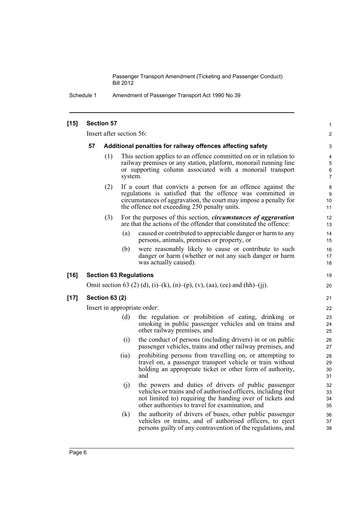Schedule 1 Amendment of Passenger Transport Act 1990 No 39

| $[15]$ |                                                                  | <b>Section 57</b>        |         |                                                                                                                                                                                                                                                | $\mathbf{1}$                  |  |
|--------|------------------------------------------------------------------|--------------------------|---------|------------------------------------------------------------------------------------------------------------------------------------------------------------------------------------------------------------------------------------------------|-------------------------------|--|
|        |                                                                  | Insert after section 56: |         |                                                                                                                                                                                                                                                | $\overline{c}$                |  |
|        | 57<br>Additional penalties for railway offences affecting safety |                          |         |                                                                                                                                                                                                                                                |                               |  |
|        |                                                                  | (1)                      | system. | This section applies to an offence committed on or in relation to<br>railway premises or any station, platform, monorail running line<br>or supporting column associated with a monorail transport                                             | 4<br>5<br>6<br>$\overline{7}$ |  |
|        |                                                                  | (2)                      |         | If a court that convicts a person for an offence against the<br>regulations is satisfied that the offence was committed in<br>circumstances of aggravation, the court may impose a penalty for<br>the offence not exceeding 250 penalty units. | 8<br>9<br>10<br>11            |  |
|        |                                                                  | (3)                      |         | For the purposes of this section, <i>circumstances of aggravation</i><br>are that the actions of the offender that constituted the offence:                                                                                                    | 12<br>13                      |  |
|        |                                                                  |                          | (a)     | caused or contributed to appreciable danger or harm to any<br>persons, animals, premises or property, or                                                                                                                                       | 14<br>15                      |  |
|        |                                                                  |                          | (b)     | were reasonably likely to cause or contribute to such<br>danger or harm (whether or not any such danger or harm<br>was actually caused).                                                                                                       | 16<br>17<br>18                |  |
| $[16]$ |                                                                  |                          |         | <b>Section 63 Regulations</b>                                                                                                                                                                                                                  | 19                            |  |
|        |                                                                  |                          |         | Omit section 63 (2) (d), (i)–(k), (n)–(p), (v), (aa), (ee) and (hh)–(jj).                                                                                                                                                                      | 20                            |  |
| $[17]$ |                                                                  | <b>Section 63 (2)</b>    |         |                                                                                                                                                                                                                                                | 21                            |  |
|        | Insert in appropriate order:                                     |                          |         |                                                                                                                                                                                                                                                |                               |  |
|        |                                                                  |                          | (d)     | the regulation or prohibition of eating, drinking or<br>smoking in public passenger vehicles and on trains and<br>other railway premises, and                                                                                                  | 23<br>24<br>25                |  |
|        |                                                                  |                          | (i)     | the conduct of persons (including drivers) in or on public<br>passenger vehicles, trains and other railway premises, and                                                                                                                       | 26<br>27                      |  |
|        |                                                                  |                          | (ia)    | prohibiting persons from travelling on, or attempting to<br>travel on, a passenger transport vehicle or train without<br>holding an appropriate ticket or other form of authority,<br>and                                                      | 28<br>29<br>30<br>31          |  |
|        |                                                                  |                          | (j)     | the powers and duties of drivers of public passenger<br>vehicles or trains and of authorised officers, including (but)<br>not limited to) requiring the handing over of tickets and<br>other authorities to travel for examination, and        | 32<br>33<br>34<br>35          |  |
|        |                                                                  |                          | (k)     | the authority of drivers of buses, other public passenger<br>vehicles or trains, and of authorised officers, to eject<br>persons guilty of any contravention of the regulations, and                                                           | 36<br>37<br>38                |  |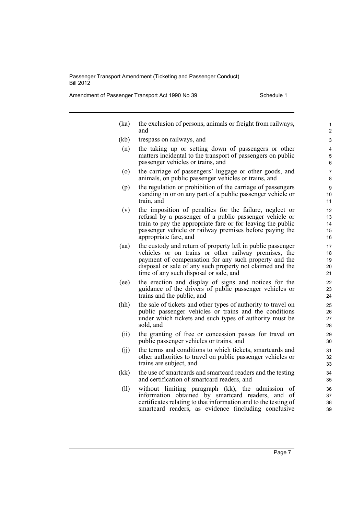Amendment of Passenger Transport Act 1990 No 39 Schedule 1

| (ka)               | the exclusion of persons, animals or freight from railways,<br>and                                                                                                                                                                                                                  | 1<br>2                     |
|--------------------|-------------------------------------------------------------------------------------------------------------------------------------------------------------------------------------------------------------------------------------------------------------------------------------|----------------------------|
| (kb)               | trespass on railways, and                                                                                                                                                                                                                                                           | 3                          |
| (n)                | the taking up or setting down of passengers or other<br>matters incidental to the transport of passengers on public<br>passenger vehicles or trains, and                                                                                                                            | 4<br>5<br>6                |
| $\left( 0 \right)$ | the carriage of passengers' luggage or other goods, and<br>animals, on public passenger vehicles or trains, and                                                                                                                                                                     | 7<br>8                     |
| (p)                | the regulation or prohibition of the carriage of passengers<br>standing in or on any part of a public passenger vehicle or<br>train, and                                                                                                                                            | 9<br>10<br>11              |
| (v)                | the imposition of penalties for the failure, neglect or<br>refusal by a passenger of a public passenger vehicle or<br>train to pay the appropriate fare or for leaving the public<br>passenger vehicle or railway premises before paying the<br>appropriate fare, and               | 12<br>13<br>14<br>15<br>16 |
| (aa)               | the custody and return of property left in public passenger<br>vehicles or on trains or other railway premises, the<br>payment of compensation for any such property and the<br>disposal or sale of any such property not claimed and the<br>time of any such disposal or sale, and | 17<br>18<br>19<br>20<br>21 |
| (ee)               | the erection and display of signs and notices for the<br>guidance of the drivers of public passenger vehicles or<br>trains and the public, and                                                                                                                                      | 22<br>23<br>24             |
| (hh)               | the sale of tickets and other types of authority to travel on<br>public passenger vehicles or trains and the conditions<br>under which tickets and such types of authority must be<br>sold, and                                                                                     | 25<br>26<br>27<br>28       |
| (ii)               | the granting of free or concession passes for travel on<br>public passenger vehicles or trains, and                                                                                                                                                                                 | 29<br>30                   |
| (jj)               | the terms and conditions to which tickets, smartcards and<br>other authorities to travel on public passenger vehicles or<br>trains are subject, and                                                                                                                                 | 31<br>32<br>33             |
| (kk)               | the use of smartcards and smartcard readers and the testing<br>and certification of smartcard readers, and                                                                                                                                                                          | 34<br>35                   |
| (11)               | without limiting paragraph (kk), the admission of<br>information obtained by smartcard readers, and of<br>certificates relating to that information and to the testing of<br>smartcard readers, as evidence (including conclusive                                                   | 36<br>37<br>38<br>39       |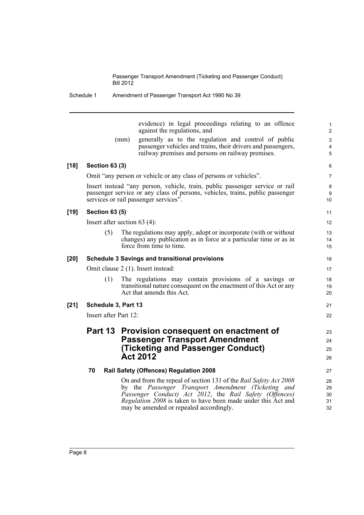Schedule 1 Amendment of Passenger Transport Act 1990 No 39

evidence) in legal proceedings relating to an offence against the regulations, and

21 22

(mm) generally as to the regulation and control of public passenger vehicles and trains, their drivers and passengers, railway premises and persons on railway premises.

#### **[18] Section 63 (3)**

Omit "any person or vehicle or any class of persons or vehicles".

Insert instead "any person, vehicle, train, public passenger service or rail passenger service or any class of persons, vehicles, trains, public passenger services or rail passenger services".

#### **[19] Section 63 (5)**

Insert after section 63 (4):

(5) The regulations may apply, adopt or incorporate (with or without changes) any publication as in force at a particular time or as in force from time to time.

#### **[20] Schedule 3 Savings and transitional provisions**

Omit clause 2 (1). Insert instead:

(1) The regulations may contain provisions of a savings or transitional nature consequent on the enactment of this Act or any Act that amends this Act.

### **[21] Schedule 3, Part 13**

Insert after Part 12:

### **Part 13 Provision consequent on enactment of Passenger Transport Amendment (Ticketing and Passenger Conduct) Act 2012**

#### **70 Rail Safety (Offences) Regulation 2008**

On and from the repeal of section 131 of the *Rail Safety Act 2008* by the *Passenger Transport Amendment (Ticketing and Passenger Conduct) Act 2012*, the *Rail Safety (Offences) Regulation 2008* is taken to have been made under this Act and may be amended or repealed accordingly.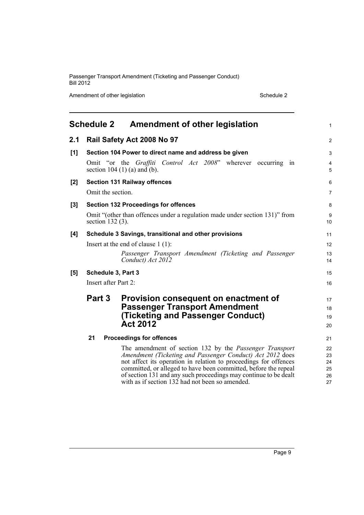Amendment of other legislation Schedule 2

<span id="page-14-0"></span>

|       |                                                                                              | Schedule 2 Amendment of other legislation                                                                                                                                                                                                                                                                                                                                                                             | 1                                      |  |  |
|-------|----------------------------------------------------------------------------------------------|-----------------------------------------------------------------------------------------------------------------------------------------------------------------------------------------------------------------------------------------------------------------------------------------------------------------------------------------------------------------------------------------------------------------------|----------------------------------------|--|--|
| 2.1   |                                                                                              | Rail Safety Act 2008 No 97                                                                                                                                                                                                                                                                                                                                                                                            | $\overline{c}$                         |  |  |
| [1]   |                                                                                              | Section 104 Power to direct name and address be given<br>Omit "or the Graffiti Control Act 2008" wherever occurring in<br>section $104 (1) (a)$ and $(b)$ .                                                                                                                                                                                                                                                           | 3<br>4<br>5                            |  |  |
| $[2]$ | Omit the section.                                                                            | <b>Section 131 Railway offences</b>                                                                                                                                                                                                                                                                                                                                                                                   | 6<br>7                                 |  |  |
| $[3]$ | section 132 (3).                                                                             | <b>Section 132 Proceedings for offences</b><br>Omit "(other than offences under a regulation made under section 131)" from                                                                                                                                                                                                                                                                                            | 8<br>9<br>10                           |  |  |
| [4]   |                                                                                              | Schedule 3 Savings, transitional and other provisions<br>Insert at the end of clause $1(1)$ :<br>Passenger Transport Amendment (Ticketing and Passenger<br>Conduct) Act 2012                                                                                                                                                                                                                                          | 11<br>12<br>13<br>14                   |  |  |
| [5]   | Schedule 3, Part 3<br>Insert after Part 2:<br>Part 3<br>Provision consequent on enactment of |                                                                                                                                                                                                                                                                                                                                                                                                                       |                                        |  |  |
|       |                                                                                              | <b>Passenger Transport Amendment</b><br>(Ticketing and Passenger Conduct)<br><b>Act 2012</b>                                                                                                                                                                                                                                                                                                                          | 18<br>19<br>20                         |  |  |
|       | 21                                                                                           | <b>Proceedings for offences</b><br>The amendment of section 132 by the Passenger Transport<br>Amendment (Ticketing and Passenger Conduct) Act 2012 does<br>not affect its operation in relation to proceedings for offences<br>committed, or alleged to have been committed, before the repeal<br>of section 131 and any such proceedings may continue to be dealt<br>with as if section 132 had not been so amended. | 21<br>22<br>23<br>24<br>25<br>26<br>27 |  |  |